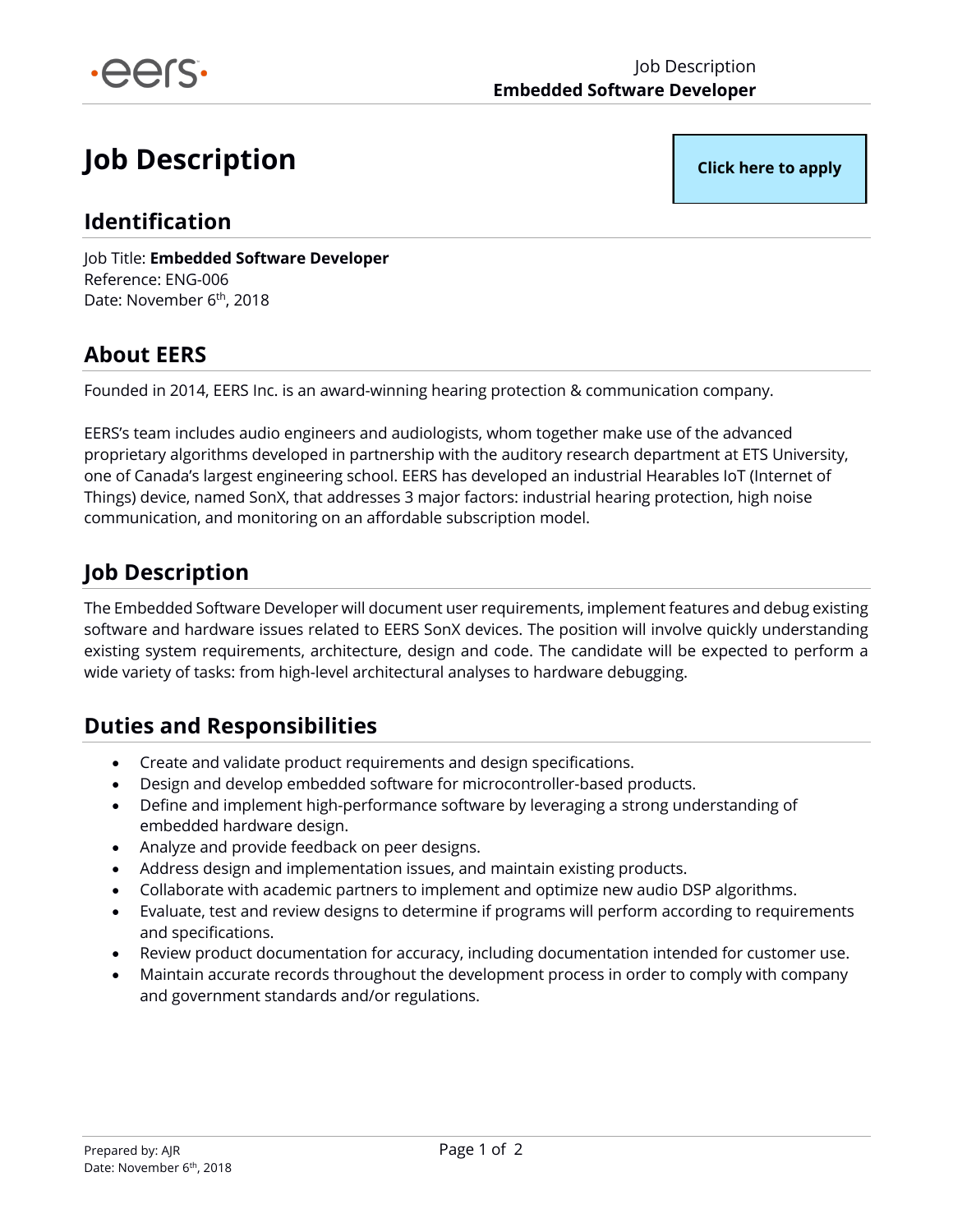

# **Job Description**

**[Click here to apply](https://airtable.com/shrid2KH66mZcRfso)**

### **Identification**

Job Title: **Embedded Software Developer** Reference: ENG-006 Date: November 6<sup>th</sup>, 2018

# **About EERS**

Founded in 2014, EERS Inc. is an award-winning hearing protection & communication company.

EERS's team includes audio engineers and audiologists, whom together make use of the advanced proprietary algorithms developed in partnership with the auditory research department at ETS University, one of Canada's largest engineering school. EERS has developed an industrial Hearables IoT (Internet of Things) device, named SonX, that addresses 3 major factors: industrial hearing protection, high noise communication, and monitoring on an affordable subscription model.

### **Job Description**

The Embedded Software Developer will document user requirements, implement features and debug existing software and hardware issues related to EERS SonX devices. The position will involve quickly understanding existing system requirements, architecture, design and code. The candidate will be expected to perform a wide variety of tasks: from high-level architectural analyses to hardware debugging.

# **Duties and Responsibilities**

- Create and validate product requirements and design specifications.
- Design and develop embedded software for microcontroller-based products.
- Define and implement high-performance software by leveraging a strong understanding of embedded hardware design.
- Analyze and provide feedback on peer designs.
- Address design and implementation issues, and maintain existing products.
- Collaborate with academic partners to implement and optimize new audio DSP algorithms.
- Evaluate, test and review designs to determine if programs will perform according to requirements and specifications.
- Review product documentation for accuracy, including documentation intended for customer use.
- Maintain accurate records throughout the development process in order to comply with company and government standards and/or regulations.